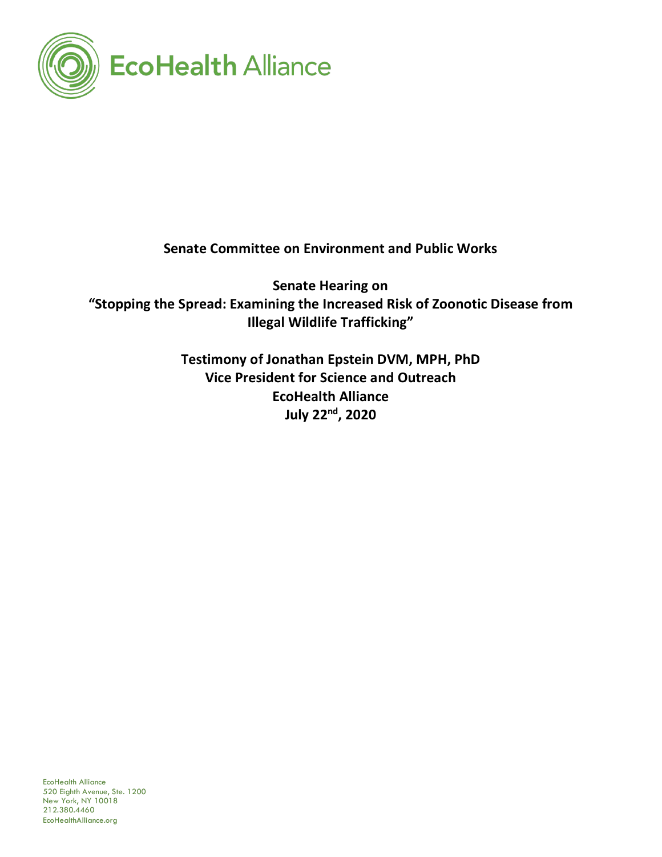

**Senate Committee on Environment and Public Works**

**Senate Hearing on "Stopping the Spread: Examining the Increased Risk of Zoonotic Disease from Illegal Wildlife Trafficking"**

> **Testimony of Jonathan Epstein DVM, MPH, PhD Vice President for Science and Outreach EcoHealth Alliance July 22nd, 2020**

EcoHealth Alliance 520 Eighth Avenue, Ste. 1200 New York, NY 10018 212.380.4460 EcoHealthAlliance.org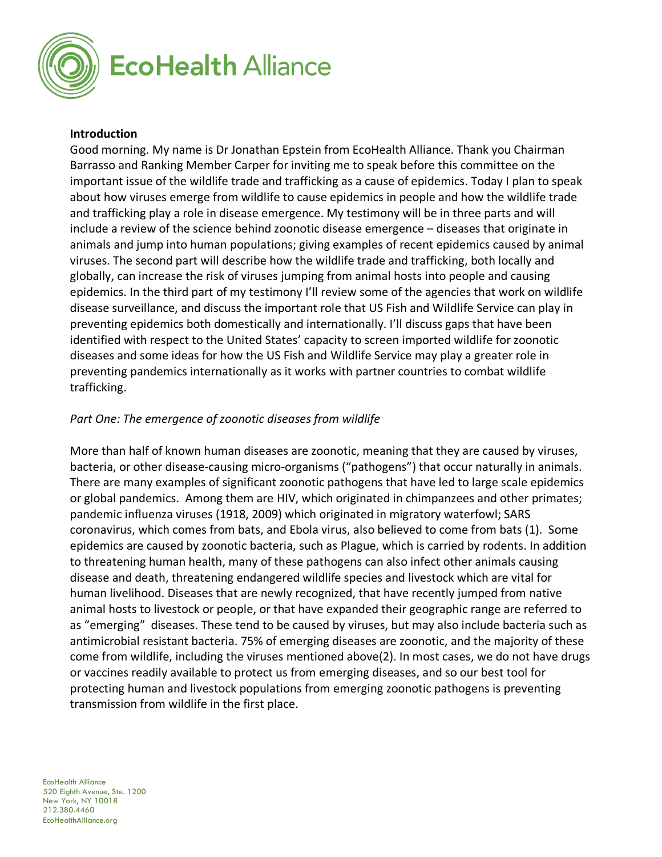

#### **Introduction**

Good morning. My name is Dr Jonathan Epstein from EcoHealth Alliance. Thank you Chairman Barrasso and Ranking Member Carper for inviting me to speak before this committee on the important issue of the wildlife trade and trafficking as a cause of epidemics. Today I plan to speak about how viruses emerge from wildlife to cause epidemics in people and how the wildlife trade and trafficking play a role in disease emergence. My testimony will be in three parts and will include a review of the science behind zoonotic disease emergence – diseases that originate in animals and jump into human populations; giving examples of recent epidemics caused by animal viruses. The second part will describe how the wildlife trade and trafficking, both locally and globally, can increase the risk of viruses jumping from animal hosts into people and causing epidemics. In the third part of my testimony I'll review some of the agencies that work on wildlife disease surveillance, and discuss the important role that US Fish and Wildlife Service can play in preventing epidemics both domestically and internationally. I'll discuss gaps that have been identified with respect to the United States' capacity to screen imported wildlife for zoonotic diseases and some ideas for how the US Fish and Wildlife Service may play a greater role in preventing pandemics internationally as it works with partner countries to combat wildlife trafficking.

#### *Part One: The emergence of zoonotic diseases from wildlife*

More than half of known human diseases are zoonotic, meaning that they are caused by viruses, bacteria, or other disease-causing micro-organisms ("pathogens") that occur naturally in animals. There are many examples of significant zoonotic pathogens that have led to large scale epidemics or global pandemics. Among them are HIV, which originated in chimpanzees and other primates; pandemic influenza viruses (1918, 2009) which originated in migratory waterfowl; SARS coronavirus, which comes from bats, and Ebola virus, also believed to come from bats (1). Some epidemics are caused by zoonotic bacteria, such as Plague, which is carried by rodents. In addition to threatening human health, many of these pathogens can also infect other animals causing disease and death, threatening endangered wildlife species and livestock which are vital for human livelihood. Diseases that are newly recognized, that have recently jumped from native animal hosts to livestock or people, or that have expanded their geographic range are referred to as "emerging" diseases. These tend to be caused by viruses, but may also include bacteria such as antimicrobial resistant bacteria. 75% of emerging diseases are zoonotic, and the majority of these come from wildlife, including the viruses mentioned above(2). In most cases, we do not have drugs or vaccines readily available to protect us from emerging diseases, and so our best tool for protecting human and livestock populations from emerging zoonotic pathogens is preventing transmission from wildlife in the first place.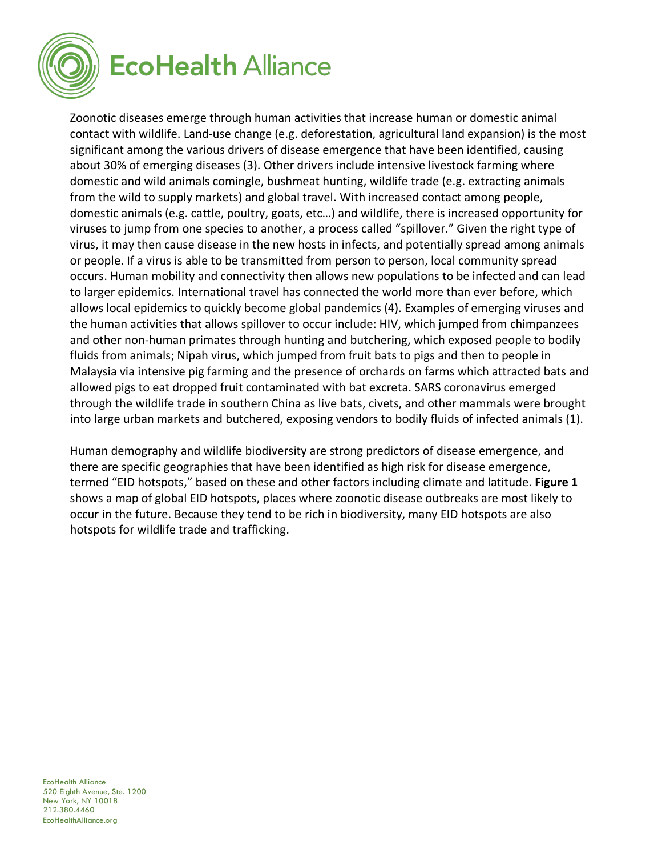

Zoonotic diseases emerge through human activities that increase human or domestic animal contact with wildlife. Land-use change (e.g. deforestation, agricultural land expansion) is the most significant among the various drivers of disease emergence that have been identified, causing about 30% of emerging diseases (3). Other drivers include intensive livestock farming where domestic and wild animals comingle, bushmeat hunting, wildlife trade (e.g. extracting animals from the wild to supply markets) and global travel. With increased contact among people, domestic animals (e.g. cattle, poultry, goats, etc…) and wildlife, there is increased opportunity for viruses to jump from one species to another, a process called "spillover." Given the right type of virus, it may then cause disease in the new hosts in infects, and potentially spread among animals or people. If a virus is able to be transmitted from person to person, local community spread occurs. Human mobility and connectivity then allows new populations to be infected and can lead to larger epidemics. International travel has connected the world more than ever before, which allows local epidemics to quickly become global pandemics (4). Examples of emerging viruses and the human activities that allows spillover to occur include: HIV, which jumped from chimpanzees and other non-human primates through hunting and butchering, which exposed people to bodily fluids from animals; Nipah virus, which jumped from fruit bats to pigs and then to people in Malaysia via intensive pig farming and the presence of orchards on farms which attracted bats and allowed pigs to eat dropped fruit contaminated with bat excreta. SARS coronavirus emerged through the wildlife trade in southern China as live bats, civets, and other mammals were brought into large urban markets and butchered, exposing vendors to bodily fluids of infected animals (1).

Human demography and wildlife biodiversity are strong predictors of disease emergence, and there are specific geographies that have been identified as high risk for disease emergence, termed "EID hotspots," based on these and other factors including climate and latitude. **Figure 1** shows a map of global EID hotspots, places where zoonotic disease outbreaks are most likely to occur in the future. Because they tend to be rich in biodiversity, many EID hotspots are also hotspots for wildlife trade and trafficking.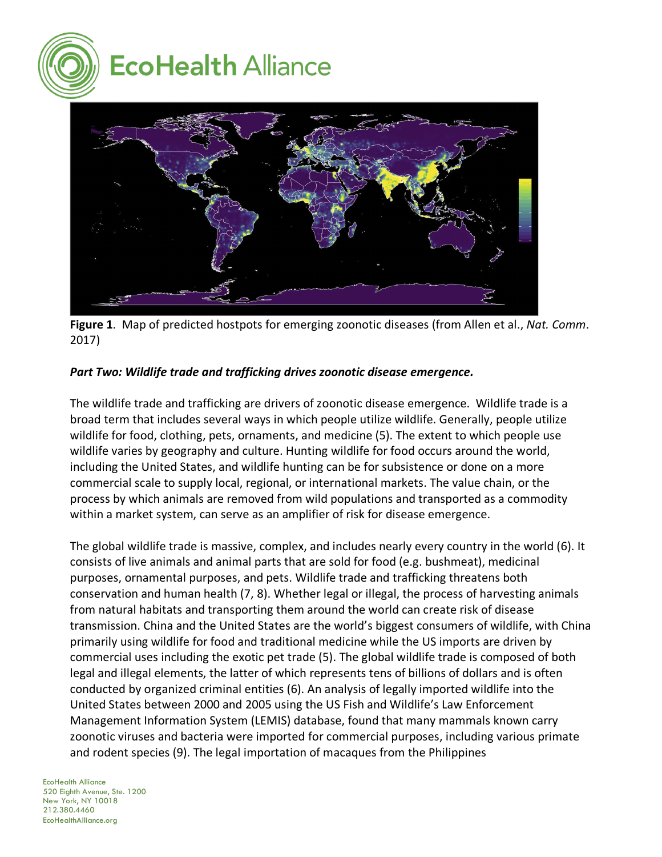



**Figure 1**. Map of predicted hostpots for emerging zoonotic diseases (from Allen et al., *Nat. Comm*. 2017)

## *Part Two: Wildlife trade and trafficking drives zoonotic disease emergence.*

The wildlife trade and trafficking are drivers of zoonotic disease emergence. Wildlife trade is a broad term that includes several ways in which people utilize wildlife. Generally, people utilize wildlife for food, clothing, pets, ornaments, and medicine (5). The extent to which people use wildlife varies by geography and culture. Hunting wildlife for food occurs around the world, including the United States, and wildlife hunting can be for subsistence or done on a more commercial scale to supply local, regional, or international markets. The value chain, or the process by which animals are removed from wild populations and transported as a commodity within a market system, can serve as an amplifier of risk for disease emergence.

The global wildlife trade is massive, complex, and includes nearly every country in the world (6). It consists of live animals and animal parts that are sold for food (e.g. bushmeat), medicinal purposes, ornamental purposes, and pets. Wildlife trade and trafficking threatens both conservation and human health (7, 8). Whether legal or illegal, the process of harvesting animals from natural habitats and transporting them around the world can create risk of disease transmission. China and the United States are the world's biggest consumers of wildlife, with China primarily using wildlife for food and traditional medicine while the US imports are driven by commercial uses including the exotic pet trade (5). The global wildlife trade is composed of both legal and illegal elements, the latter of which represents tens of billions of dollars and is often conducted by organized criminal entities (6). An analysis of legally imported wildlife into the United States between 2000 and 2005 using the US Fish and Wildlife's Law Enforcement Management Information System (LEMIS) database, found that many mammals known carry zoonotic viruses and bacteria were imported for commercial purposes, including various primate and rodent species (9). The legal importation of macaques from the Philippines

#### EcoHealth Alliance 520 Eighth Avenue, Ste. 1200 New York, NY 10018 212.380.4460 EcoHealthAlliance.org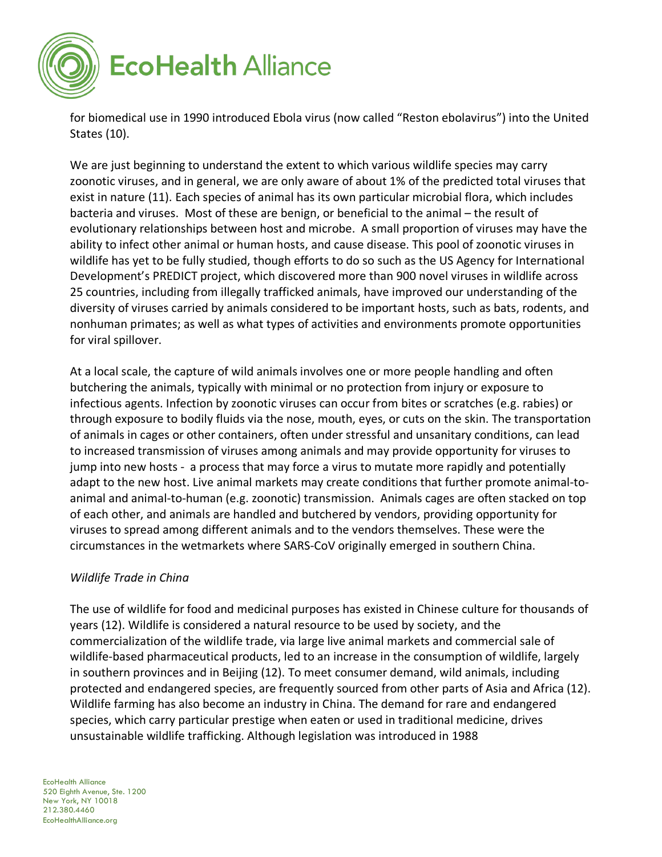

for biomedical use in 1990 introduced Ebola virus (now called "Reston ebolavirus") into the United States (10).

We are just beginning to understand the extent to which various wildlife species may carry zoonotic viruses, and in general, we are only aware of about 1% of the predicted total viruses that exist in nature (11). Each species of animal has its own particular microbial flora, which includes bacteria and viruses. Most of these are benign, or beneficial to the animal – the result of evolutionary relationships between host and microbe. A small proportion of viruses may have the ability to infect other animal or human hosts, and cause disease. This pool of zoonotic viruses in wildlife has yet to be fully studied, though efforts to do so such as the US Agency for International Development's PREDICT project, which discovered more than 900 novel viruses in wildlife across 25 countries, including from illegally trafficked animals, have improved our understanding of the diversity of viruses carried by animals considered to be important hosts, such as bats, rodents, and nonhuman primates; as well as what types of activities and environments promote opportunities for viral spillover.

At a local scale, the capture of wild animals involves one or more people handling and often butchering the animals, typically with minimal or no protection from injury or exposure to infectious agents. Infection by zoonotic viruses can occur from bites or scratches (e.g. rabies) or through exposure to bodily fluids via the nose, mouth, eyes, or cuts on the skin. The transportation of animals in cages or other containers, often under stressful and unsanitary conditions, can lead to increased transmission of viruses among animals and may provide opportunity for viruses to jump into new hosts - a process that may force a virus to mutate more rapidly and potentially adapt to the new host. Live animal markets may create conditions that further promote animal-toanimal and animal-to-human (e.g. zoonotic) transmission. Animals cages are often stacked on top of each other, and animals are handled and butchered by vendors, providing opportunity for viruses to spread among different animals and to the vendors themselves. These were the circumstances in the wetmarkets where SARS-CoV originally emerged in southern China.

#### *Wildlife Trade in China*

The use of wildlife for food and medicinal purposes has existed in Chinese culture for thousands of years (12). Wildlife is considered a natural resource to be used by society, and the commercialization of the wildlife trade, via large live animal markets and commercial sale of wildlife-based pharmaceutical products, led to an increase in the consumption of wildlife, largely in southern provinces and in Beijing (12). To meet consumer demand, wild animals, including protected and endangered species, are frequently sourced from other parts of Asia and Africa (12). Wildlife farming has also become an industry in China. The demand for rare and endangered species, which carry particular prestige when eaten or used in traditional medicine, drives unsustainable wildlife trafficking. Although legislation was introduced in 1988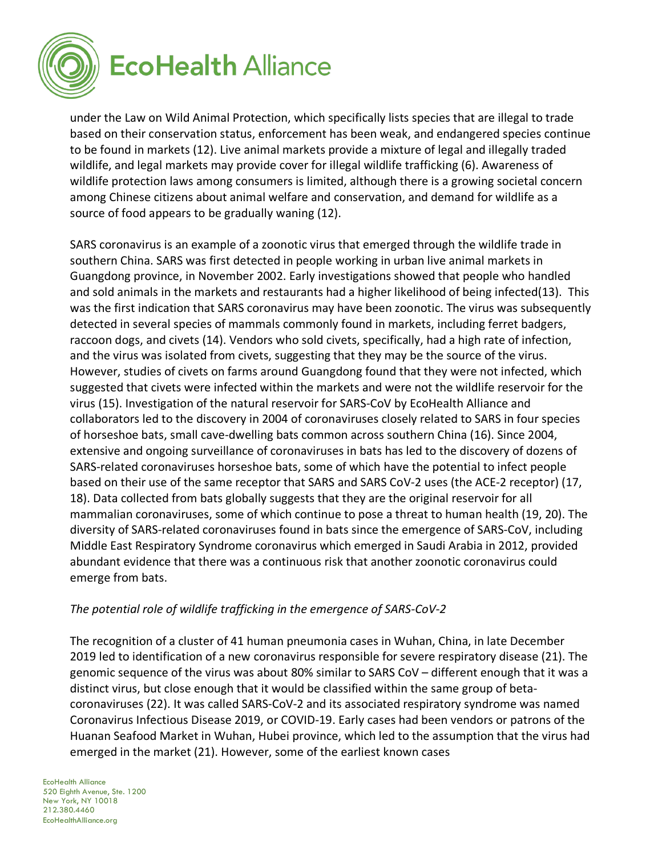

under the Law on Wild Animal Protection, which specifically lists species that are illegal to trade based on their conservation status, enforcement has been weak, and endangered species continue to be found in markets (12). Live animal markets provide a mixture of legal and illegally traded wildlife, and legal markets may provide cover for illegal wildlife trafficking (6). Awareness of wildlife protection laws among consumers is limited, although there is a growing societal concern among Chinese citizens about animal welfare and conservation, and demand for wildlife as a source of food appears to be gradually waning (12).

SARS coronavirus is an example of a zoonotic virus that emerged through the wildlife trade in southern China. SARS was first detected in people working in urban live animal markets in Guangdong province, in November 2002. Early investigations showed that people who handled and sold animals in the markets and restaurants had a higher likelihood of being infected(13). This was the first indication that SARS coronavirus may have been zoonotic. The virus was subsequently detected in several species of mammals commonly found in markets, including ferret badgers, raccoon dogs, and civets (14). Vendors who sold civets, specifically, had a high rate of infection, and the virus was isolated from civets, suggesting that they may be the source of the virus. However, studies of civets on farms around Guangdong found that they were not infected, which suggested that civets were infected within the markets and were not the wildlife reservoir for the virus (15). Investigation of the natural reservoir for SARS-CoV by EcoHealth Alliance and collaborators led to the discovery in 2004 of coronaviruses closely related to SARS in four species of horseshoe bats, small cave-dwelling bats common across southern China (16). Since 2004, extensive and ongoing surveillance of coronaviruses in bats has led to the discovery of dozens of SARS-related coronaviruses horseshoe bats, some of which have the potential to infect people based on their use of the same receptor that SARS and SARS CoV-2 uses (the ACE-2 receptor) (17, 18). Data collected from bats globally suggests that they are the original reservoir for all mammalian coronaviruses, some of which continue to pose a threat to human health (19, 20). The diversity of SARS-related coronaviruses found in bats since the emergence of SARS-CoV, including Middle East Respiratory Syndrome coronavirus which emerged in Saudi Arabia in 2012, provided abundant evidence that there was a continuous risk that another zoonotic coronavirus could emerge from bats.

#### *The potential role of wildlife trafficking in the emergence of SARS-CoV-2*

The recognition of a cluster of 41 human pneumonia cases in Wuhan, China, in late December 2019 led to identification of a new coronavirus responsible for severe respiratory disease (21). The genomic sequence of the virus was about 80% similar to SARS CoV – different enough that it was a distinct virus, but close enough that it would be classified within the same group of betacoronaviruses (22). It was called SARS-CoV-2 and its associated respiratory syndrome was named Coronavirus Infectious Disease 2019, or COVID-19. Early cases had been vendors or patrons of the Huanan Seafood Market in Wuhan, Hubei province, which led to the assumption that the virus had emerged in the market (21). However, some of the earliest known cases

EcoHealth Alliance 520 Eighth Avenue, Ste. 1200 New York, NY 10018 212.380.4460 EcoHealthAlliance.org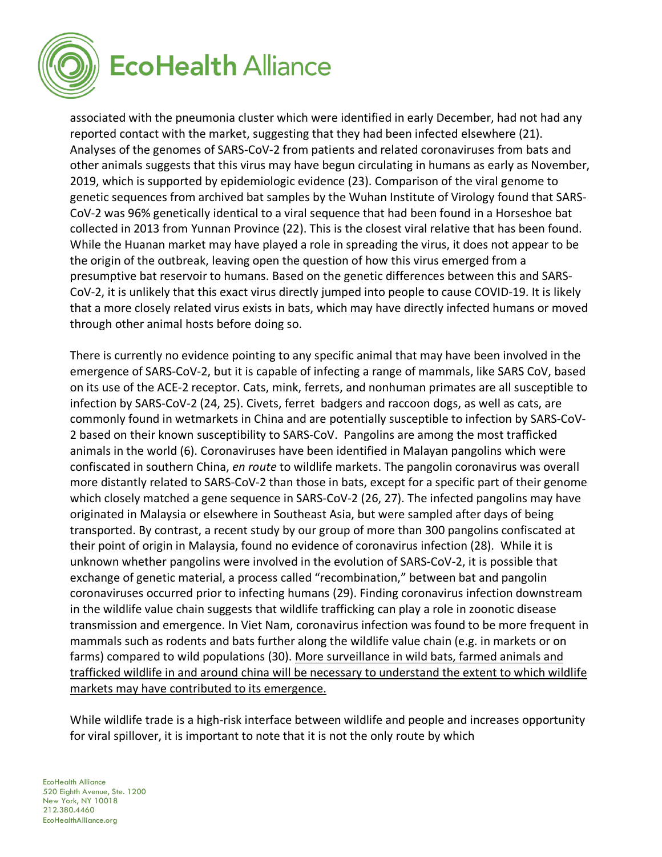

associated with the pneumonia cluster which were identified in early December, had not had any reported contact with the market, suggesting that they had been infected elsewhere (21). Analyses of the genomes of SARS-CoV-2 from patients and related coronaviruses from bats and other animals suggests that this virus may have begun circulating in humans as early as November, 2019, which is supported by epidemiologic evidence (23). Comparison of the viral genome to genetic sequences from archived bat samples by the Wuhan Institute of Virology found that SARS-CoV-2 was 96% genetically identical to a viral sequence that had been found in a Horseshoe bat collected in 2013 from Yunnan Province (22). This is the closest viral relative that has been found. While the Huanan market may have played a role in spreading the virus, it does not appear to be the origin of the outbreak, leaving open the question of how this virus emerged from a presumptive bat reservoir to humans. Based on the genetic differences between this and SARS-CoV-2, it is unlikely that this exact virus directly jumped into people to cause COVID-19. It is likely that a more closely related virus exists in bats, which may have directly infected humans or moved through other animal hosts before doing so.

There is currently no evidence pointing to any specific animal that may have been involved in the emergence of SARS-CoV-2, but it is capable of infecting a range of mammals, like SARS CoV, based on its use of the ACE-2 receptor. Cats, mink, ferrets, and nonhuman primates are all susceptible to infection by SARS-CoV-2 (24, 25). Civets, ferret badgers and raccoon dogs, as well as cats, are commonly found in wetmarkets in China and are potentially susceptible to infection by SARS-CoV-2 based on their known susceptibility to SARS-CoV. Pangolins are among the most trafficked animals in the world (6). Coronaviruses have been identified in Malayan pangolins which were confiscated in southern China, *en route* to wildlife markets. The pangolin coronavirus was overall more distantly related to SARS-CoV-2 than those in bats, except for a specific part of their genome which closely matched a gene sequence in SARS-CoV-2 (26, 27). The infected pangolins may have originated in Malaysia or elsewhere in Southeast Asia, but were sampled after days of being transported. By contrast, a recent study by our group of more than 300 pangolins confiscated at their point of origin in Malaysia, found no evidence of coronavirus infection (28). While it is unknown whether pangolins were involved in the evolution of SARS-CoV-2, it is possible that exchange of genetic material, a process called "recombination," between bat and pangolin coronaviruses occurred prior to infecting humans (29). Finding coronavirus infection downstream in the wildlife value chain suggests that wildlife trafficking can play a role in zoonotic disease transmission and emergence. In Viet Nam, coronavirus infection was found to be more frequent in mammals such as rodents and bats further along the wildlife value chain (e.g. in markets or on farms) compared to wild populations (30). More surveillance in wild bats, farmed animals and trafficked wildlife in and around china will be necessary to understand the extent to which wildlife markets may have contributed to its emergence.

While wildlife trade is a high-risk interface between wildlife and people and increases opportunity for viral spillover, it is important to note that it is not the only route by which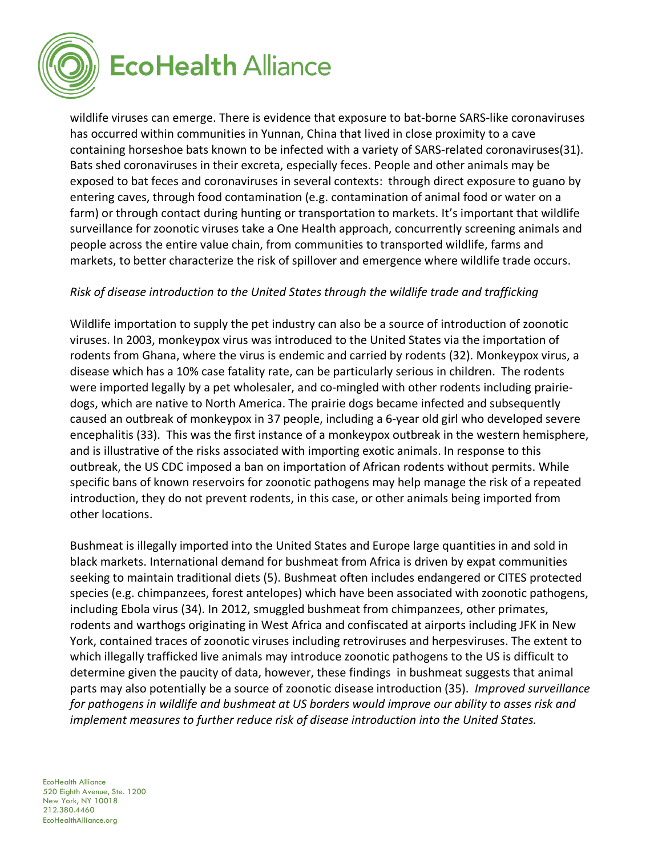

wildlife viruses can emerge. There is evidence that exposure to bat-borne SARS-like coronaviruses has occurred within communities in Yunnan, China that lived in close proximity to a cave containing horseshoe bats known to be infected with a variety of SARS-related coronaviruses(31). Bats shed coronaviruses in their excreta, especially feces. People and other animals may be exposed to bat feces and coronaviruses in several contexts: through direct exposure to guano by entering caves, through food contamination (e.g. contamination of animal food or water on a farm) or through contact during hunting or transportation to markets. It's important that wildlife surveillance for zoonotic viruses take a One Health approach, concurrently screening animals and people across the entire value chain, from communities to transported wildlife, farms and markets, to better characterize the risk of spillover and emergence where wildlife trade occurs.

## *Risk of disease introduction to the United States through the wildlife trade and trafficking*

Wildlife importation to supply the pet industry can also be a source of introduction of zoonotic viruses. In 2003, monkeypox virus was introduced to the United States via the importation of rodents from Ghana, where the virus is endemic and carried by rodents (32). Monkeypox virus, a disease which has a 10% case fatality rate, can be particularly serious in children. The rodents were imported legally by a pet wholesaler, and co-mingled with other rodents including prairiedogs, which are native to North America. The prairie dogs became infected and subsequently caused an outbreak of monkeypox in 37 people, including a 6-year old girl who developed severe encephalitis (33). This was the first instance of a monkeypox outbreak in the western hemisphere, and is illustrative of the risks associated with importing exotic animals. In response to this outbreak, the US CDC imposed a ban on importation of African rodents without permits. While specific bans of known reservoirs for zoonotic pathogens may help manage the risk of a repeated introduction, they do not prevent rodents, in this case, or other animals being imported from other locations.

Bushmeat is illegally imported into the United States and Europe large quantities in and sold in black markets. International demand for bushmeat from Africa is driven by expat communities seeking to maintain traditional diets (5). Bushmeat often includes endangered or CITES protected species (e.g. chimpanzees, forest antelopes) which have been associated with zoonotic pathogens, including Ebola virus (34). In 2012, smuggled bushmeat from chimpanzees, other primates, rodents and warthogs originating in West Africa and confiscated at airports including JFK in New York, contained traces of zoonotic viruses including retroviruses and herpesviruses. The extent to which illegally trafficked live animals may introduce zoonotic pathogens to the US is difficult to determine given the paucity of data, however, these findings in bushmeat suggests that animal parts may also potentially be a source of zoonotic disease introduction (35). *Improved surveillance for pathogens in wildlife and bushmeat at US borders would improve our ability to asses risk and implement measures to further reduce risk of disease introduction into the United States.*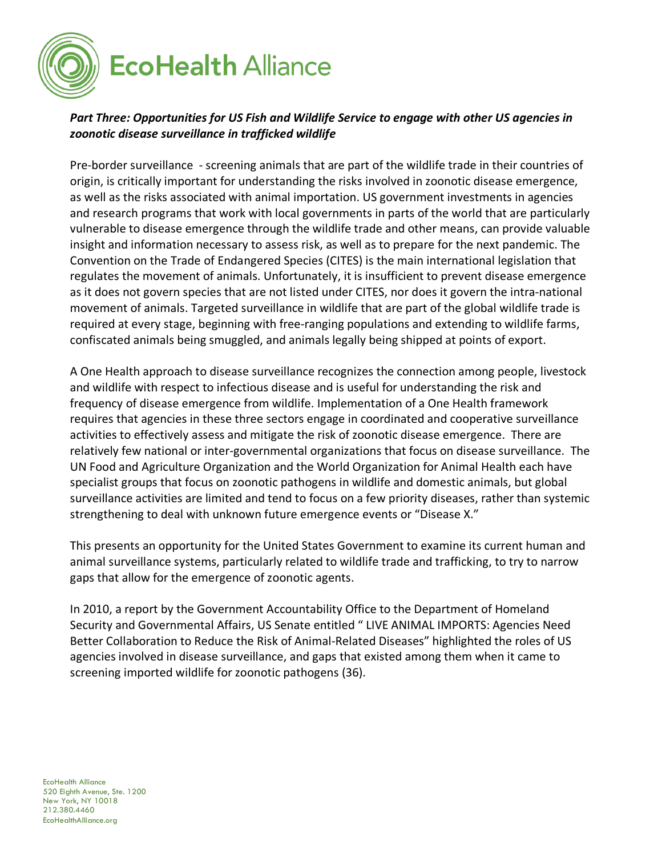

# *Part Three: Opportunities for US Fish and Wildlife Service to engage with other US agencies in zoonotic disease surveillance in trafficked wildlife*

Pre-border surveillance - screening animals that are part of the wildlife trade in their countries of origin, is critically important for understanding the risks involved in zoonotic disease emergence, as well as the risks associated with animal importation. US government investments in agencies and research programs that work with local governments in parts of the world that are particularly vulnerable to disease emergence through the wildlife trade and other means, can provide valuable insight and information necessary to assess risk, as well as to prepare for the next pandemic. The Convention on the Trade of Endangered Species (CITES) is the main international legislation that regulates the movement of animals. Unfortunately, it is insufficient to prevent disease emergence as it does not govern species that are not listed under CITES, nor does it govern the intra-national movement of animals. Targeted surveillance in wildlife that are part of the global wildlife trade is required at every stage, beginning with free-ranging populations and extending to wildlife farms, confiscated animals being smuggled, and animals legally being shipped at points of export.

A One Health approach to disease surveillance recognizes the connection among people, livestock and wildlife with respect to infectious disease and is useful for understanding the risk and frequency of disease emergence from wildlife. Implementation of a One Health framework requires that agencies in these three sectors engage in coordinated and cooperative surveillance activities to effectively assess and mitigate the risk of zoonotic disease emergence. There are relatively few national or inter-governmental organizations that focus on disease surveillance. The UN Food and Agriculture Organization and the World Organization for Animal Health each have specialist groups that focus on zoonotic pathogens in wildlife and domestic animals, but global surveillance activities are limited and tend to focus on a few priority diseases, rather than systemic strengthening to deal with unknown future emergence events or "Disease X."

This presents an opportunity for the United States Government to examine its current human and animal surveillance systems, particularly related to wildlife trade and trafficking, to try to narrow gaps that allow for the emergence of zoonotic agents.

In 2010, a report by the Government Accountability Office to the Department of Homeland Security and Governmental Affairs, US Senate entitled " LIVE ANIMAL IMPORTS: Agencies Need Better Collaboration to Reduce the Risk of Animal-Related Diseases" highlighted the roles of US agencies involved in disease surveillance, and gaps that existed among them when it came to screening imported wildlife for zoonotic pathogens (36).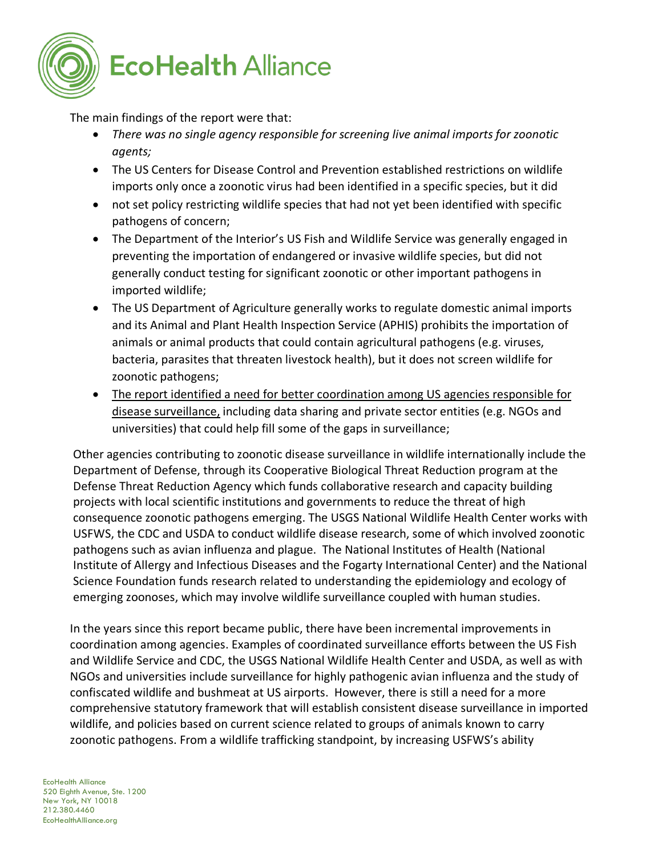

The main findings of the report were that:

- *There was no single agency responsible for screening live animal imports for zoonotic agents;*
- The US Centers for Disease Control and Prevention established restrictions on wildlife imports only once a zoonotic virus had been identified in a specific species, but it did
- not set policy restricting wildlife species that had not yet been identified with specific pathogens of concern;
- The Department of the Interior's US Fish and Wildlife Service was generally engaged in preventing the importation of endangered or invasive wildlife species, but did not generally conduct testing for significant zoonotic or other important pathogens in imported wildlife;
- The US Department of Agriculture generally works to regulate domestic animal imports and its Animal and Plant Health Inspection Service (APHIS) prohibits the importation of animals or animal products that could contain agricultural pathogens (e.g. viruses, bacteria, parasites that threaten livestock health), but it does not screen wildlife for zoonotic pathogens;
- The report identified a need for better coordination among US agencies responsible for disease surveillance, including data sharing and private sector entities (e.g. NGOs and universities) that could help fill some of the gaps in surveillance;

Other agencies contributing to zoonotic disease surveillance in wildlife internationally include the Department of Defense, through its Cooperative Biological Threat Reduction program at the Defense Threat Reduction Agency which funds collaborative research and capacity building projects with local scientific institutions and governments to reduce the threat of high consequence zoonotic pathogens emerging. The USGS National Wildlife Health Center works with USFWS, the CDC and USDA to conduct wildlife disease research, some of which involved zoonotic pathogens such as avian influenza and plague. The National Institutes of Health (National Institute of Allergy and Infectious Diseases and the Fogarty International Center) and the National Science Foundation funds research related to understanding the epidemiology and ecology of emerging zoonoses, which may involve wildlife surveillance coupled with human studies.

In the years since this report became public, there have been incremental improvements in coordination among agencies. Examples of coordinated surveillance efforts between the US Fish and Wildlife Service and CDC, the USGS National Wildlife Health Center and USDA, as well as with NGOs and universities include surveillance for highly pathogenic avian influenza and the study of confiscated wildlife and bushmeat at US airports. However, there is still a need for a more comprehensive statutory framework that will establish consistent disease surveillance in imported wildlife, and policies based on current science related to groups of animals known to carry zoonotic pathogens. From a wildlife trafficking standpoint, by increasing USFWS's ability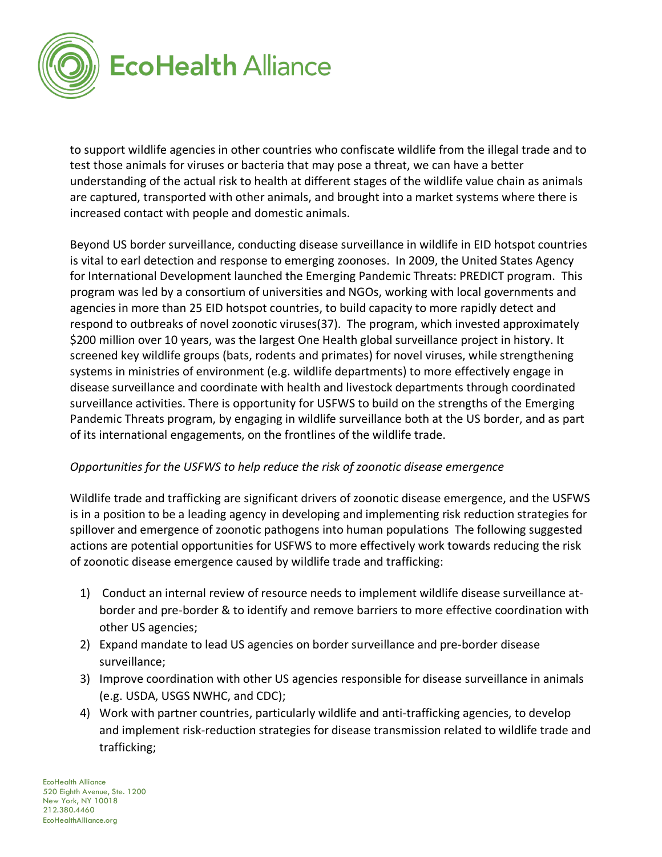

to support wildlife agencies in other countries who confiscate wildlife from the illegal trade and to test those animals for viruses or bacteria that may pose a threat, we can have a better understanding of the actual risk to health at different stages of the wildlife value chain as animals are captured, transported with other animals, and brought into a market systems where there is increased contact with people and domestic animals.

Beyond US border surveillance, conducting disease surveillance in wildlife in EID hotspot countries is vital to earl detection and response to emerging zoonoses. In 2009, the United States Agency for International Development launched the Emerging Pandemic Threats: PREDICT program. This program was led by a consortium of universities and NGOs, working with local governments and agencies in more than 25 EID hotspot countries, to build capacity to more rapidly detect and respond to outbreaks of novel zoonotic viruses(37). The program, which invested approximately \$200 million over 10 years, was the largest One Health global surveillance project in history. It screened key wildlife groups (bats, rodents and primates) for novel viruses, while strengthening systems in ministries of environment (e.g. wildlife departments) to more effectively engage in disease surveillance and coordinate with health and livestock departments through coordinated surveillance activities. There is opportunity for USFWS to build on the strengths of the Emerging Pandemic Threats program, by engaging in wildlife surveillance both at the US border, and as part of its international engagements, on the frontlines of the wildlife trade.

#### *Opportunities for the USFWS to help reduce the risk of zoonotic disease emergence*

Wildlife trade and trafficking are significant drivers of zoonotic disease emergence, and the USFWS is in a position to be a leading agency in developing and implementing risk reduction strategies for spillover and emergence of zoonotic pathogens into human populations The following suggested actions are potential opportunities for USFWS to more effectively work towards reducing the risk of zoonotic disease emergence caused by wildlife trade and trafficking:

- 1) Conduct an internal review of resource needs to implement wildlife disease surveillance atborder and pre-border & to identify and remove barriers to more effective coordination with other US agencies;
- 2) Expand mandate to lead US agencies on border surveillance and pre-border disease surveillance;
- 3) Improve coordination with other US agencies responsible for disease surveillance in animals (e.g. USDA, USGS NWHC, and CDC);
- 4) Work with partner countries, particularly wildlife and anti-trafficking agencies, to develop and implement risk-reduction strategies for disease transmission related to wildlife trade and trafficking;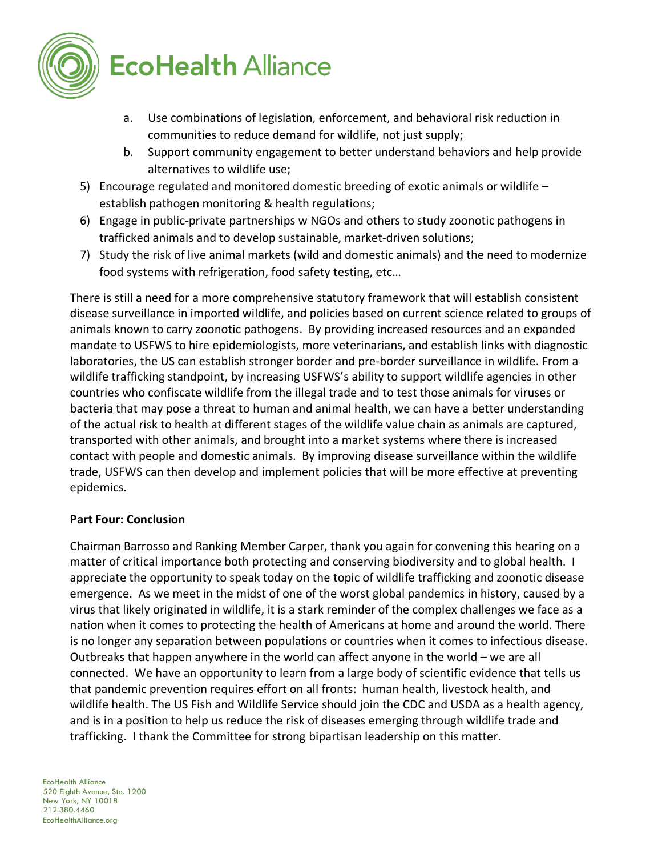

- a. Use combinations of legislation, enforcement, and behavioral risk reduction in communities to reduce demand for wildlife, not just supply;
- b. Support community engagement to better understand behaviors and help provide alternatives to wildlife use;
- 5) Encourage regulated and monitored domestic breeding of exotic animals or wildlife establish pathogen monitoring & health regulations;
- 6) Engage in public-private partnerships w NGOs and others to study zoonotic pathogens in trafficked animals and to develop sustainable, market-driven solutions;
- 7) Study the risk of live animal markets (wild and domestic animals) and the need to modernize food systems with refrigeration, food safety testing, etc…

There is still a need for a more comprehensive statutory framework that will establish consistent disease surveillance in imported wildlife, and policies based on current science related to groups of animals known to carry zoonotic pathogens. By providing increased resources and an expanded mandate to USFWS to hire epidemiologists, more veterinarians, and establish links with diagnostic laboratories, the US can establish stronger border and pre-border surveillance in wildlife. From a wildlife trafficking standpoint, by increasing USFWS's ability to support wildlife agencies in other countries who confiscate wildlife from the illegal trade and to test those animals for viruses or bacteria that may pose a threat to human and animal health, we can have a better understanding of the actual risk to health at different stages of the wildlife value chain as animals are captured, transported with other animals, and brought into a market systems where there is increased contact with people and domestic animals. By improving disease surveillance within the wildlife trade, USFWS can then develop and implement policies that will be more effective at preventing epidemics.

#### **Part Four: Conclusion**

Chairman Barrosso and Ranking Member Carper, thank you again for convening this hearing on a matter of critical importance both protecting and conserving biodiversity and to global health. I appreciate the opportunity to speak today on the topic of wildlife trafficking and zoonotic disease emergence. As we meet in the midst of one of the worst global pandemics in history, caused by a virus that likely originated in wildlife, it is a stark reminder of the complex challenges we face as a nation when it comes to protecting the health of Americans at home and around the world. There is no longer any separation between populations or countries when it comes to infectious disease. Outbreaks that happen anywhere in the world can affect anyone in the world – we are all connected. We have an opportunity to learn from a large body of scientific evidence that tells us that pandemic prevention requires effort on all fronts: human health, livestock health, and wildlife health. The US Fish and Wildlife Service should join the CDC and USDA as a health agency, and is in a position to help us reduce the risk of diseases emerging through wildlife trade and trafficking. I thank the Committee for strong bipartisan leadership on this matter.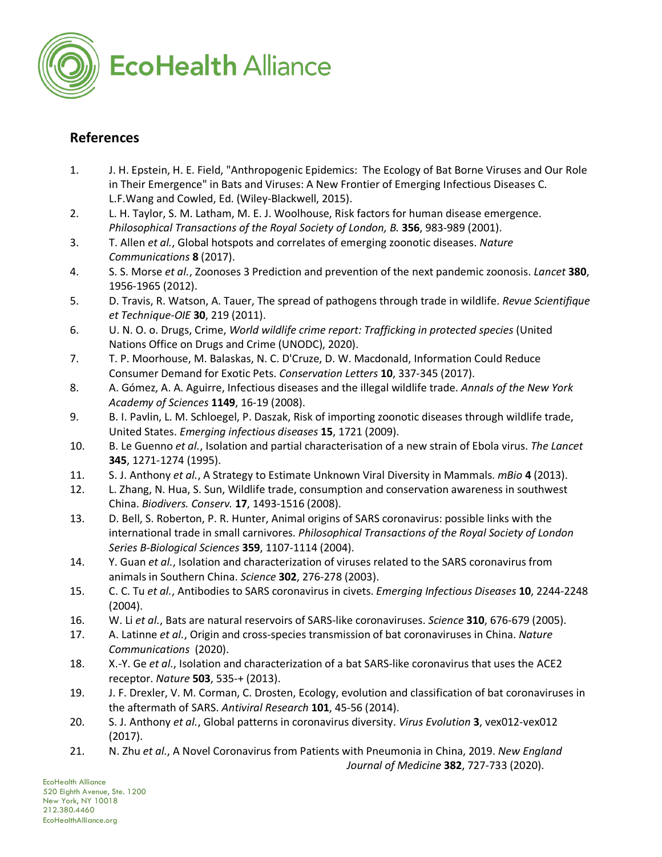

# **References**

- 1. J. H. Epstein, H. E. Field, "Anthropogenic Epidemics: The Ecology of Bat Borne Viruses and Our Role in Their Emergence" in Bats and Viruses: A New Frontier of Emerging Infectious Diseases C. L.F.Wang and Cowled, Ed. (Wiley-Blackwell, 2015).
- 2. L. H. Taylor, S. M. Latham, M. E. J. Woolhouse, Risk factors for human disease emergence. *Philosophical Transactions of the Royal Society of London, B.* **356**, 983-989 (2001).
- 3. T. Allen *et al.*, Global hotspots and correlates of emerging zoonotic diseases. *Nature Communications* **8** (2017).
- 4. S. S. Morse *et al.*, Zoonoses 3 Prediction and prevention of the next pandemic zoonosis. *Lancet* **380**, 1956-1965 (2012).
- 5. D. Travis, R. Watson, A. Tauer, The spread of pathogens through trade in wildlife. *Revue Scientifique et Technique-OIE* **30**, 219 (2011).
- 6. U. N. O. o. Drugs, Crime, *World wildlife crime report: Trafficking in protected species* (United Nations Office on Drugs and Crime (UNODC), 2020).
- 7. T. P. Moorhouse, M. Balaskas, N. C. D'Cruze, D. W. Macdonald, Information Could Reduce Consumer Demand for Exotic Pets. *Conservation Letters* **10**, 337-345 (2017).
- 8. A. Gómez, A. A. Aguirre, Infectious diseases and the illegal wildlife trade. *Annals of the New York Academy of Sciences* **1149**, 16-19 (2008).
- 9. B. I. Pavlin, L. M. Schloegel, P. Daszak, Risk of importing zoonotic diseases through wildlife trade, United States. *Emerging infectious diseases* **15**, 1721 (2009).
- 10. B. Le Guenno *et al.*, Isolation and partial characterisation of a new strain of Ebola virus. *The Lancet* **345**, 1271-1274 (1995).
- 11. S. J. Anthony *et al.*, A Strategy to Estimate Unknown Viral Diversity in Mammals. *mBio* **4** (2013).
- 12. L. Zhang, N. Hua, S. Sun, Wildlife trade, consumption and conservation awareness in southwest China. *Biodivers. Conserv.* **17**, 1493-1516 (2008).
- 13. D. Bell, S. Roberton, P. R. Hunter, Animal origins of SARS coronavirus: possible links with the international trade in small carnivores. *Philosophical Transactions of the Royal Society of London Series B-Biological Sciences* **359**, 1107-1114 (2004).
- 14. Y. Guan *et al.*, Isolation and characterization of viruses related to the SARS coronavirus from animals in Southern China. *Science* **302**, 276-278 (2003).
- 15. C. C. Tu *et al.*, Antibodies to SARS coronavirus in civets. *Emerging Infectious Diseases* **10**, 2244-2248 (2004).
- 16. W. Li *et al.*, Bats are natural reservoirs of SARS-like coronaviruses. *Science* **310**, 676-679 (2005).
- 17. A. Latinne *et al.*, Origin and cross-species transmission of bat coronaviruses in China. *Nature Communications* (2020).
- 18. X.-Y. Ge *et al.*, Isolation and characterization of a bat SARS-like coronavirus that uses the ACE2 receptor. *Nature* **503**, 535-+ (2013).
- 19. J. F. Drexler, V. M. Corman, C. Drosten, Ecology, evolution and classification of bat coronaviruses in the aftermath of SARS. *Antiviral Research* **101**, 45-56 (2014).
- 20. S. J. Anthony *et al.*, Global patterns in coronavirus diversity. *Virus Evolution* **3**, vex012-vex012 (2017).
- 21. N. Zhu *et al.*, A Novel Coronavirus from Patients with Pneumonia in China, 2019. *New England*

*Journal of Medicine* **382**, 727-733 (2020).